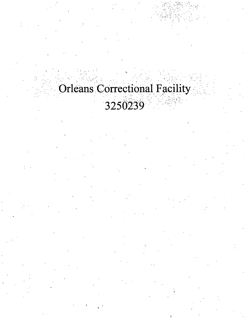## Orleans Correctional Facility

## 3250239